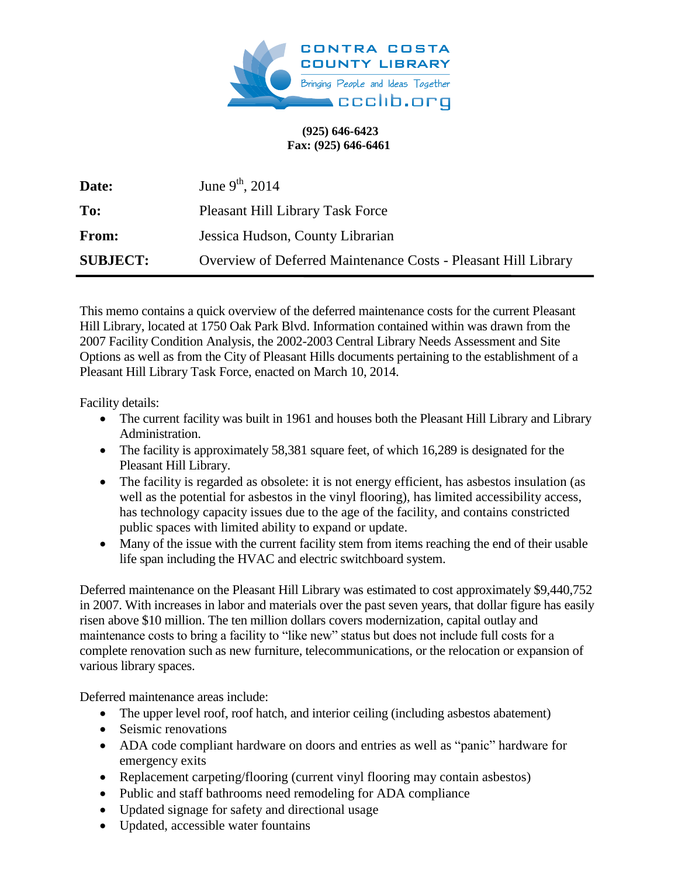

## **(925) 646-6423 Fax: (925) 646-6461**

| Date:           | June $9^{th}$ , 2014                                           |
|-----------------|----------------------------------------------------------------|
| To:             | <b>Pleasant Hill Library Task Force</b>                        |
| From:           | Jessica Hudson, County Librarian                               |
| <b>SUBJECT:</b> | Overview of Deferred Maintenance Costs - Pleasant Hill Library |

This memo contains a quick overview of the deferred maintenance costs for the current Pleasant Hill Library, located at 1750 Oak Park Blvd. Information contained within was drawn from the 2007 Facility Condition Analysis, the 2002-2003 Central Library Needs Assessment and Site Options as well as from the City of Pleasant Hills documents pertaining to the establishment of a Pleasant Hill Library Task Force, enacted on March 10, 2014.

Facility details:

- The current facility was built in 1961 and houses both the Pleasant Hill Library and Library Administration.
- The facility is approximately 58,381 square feet, of which 16,289 is designated for the Pleasant Hill Library.
- The facility is regarded as obsolete: it is not energy efficient, has asbestos insulation (as well as the potential for asbestos in the vinyl flooring), has limited accessibility access, has technology capacity issues due to the age of the facility, and contains constricted public spaces with limited ability to expand or update.
- Many of the issue with the current facility stem from items reaching the end of their usable life span including the HVAC and electric switchboard system.

Deferred maintenance on the Pleasant Hill Library was estimated to cost approximately \$9,440,752 in 2007. With increases in labor and materials over the past seven years, that dollar figure has easily risen above \$10 million. The ten million dollars covers modernization, capital outlay and maintenance costs to bring a facility to "like new" status but does not include full costs for a complete renovation such as new furniture, telecommunications, or the relocation or expansion of various library spaces.

Deferred maintenance areas include:

- The upper level roof, roof hatch, and interior ceiling (including asbestos abatement)
- Seismic renovations
- ADA code compliant hardware on doors and entries as well as "panic" hardware for emergency exits
- Replacement carpeting/flooring (current vinyl flooring may contain asbestos)
- Public and staff bathrooms need remodeling for ADA compliance
- Updated signage for safety and directional usage
- Updated, accessible water fountains